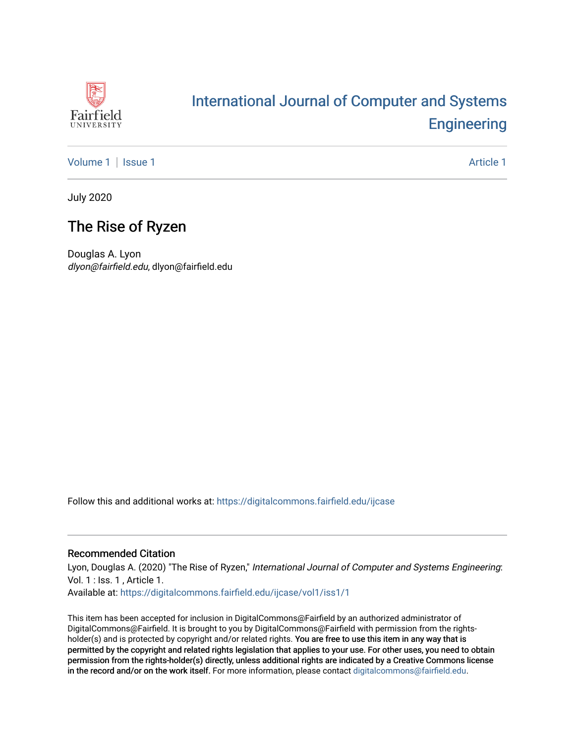

# [International Journal of Computer and Systems](https://digitalcommons.fairfield.edu/ijcase)  **Engineering**

[Volume 1](https://digitalcommons.fairfield.edu/ijcase/vol1) | [Issue 1](https://digitalcommons.fairfield.edu/ijcase/vol1/iss1) Article 1

July 2020

# The Rise of Ryzen

Douglas A. Lyon dlyon@fairfield.edu, dlyon@fairfield.edu

Follow this and additional works at: [https://digitalcommons.fairfield.edu/ijcase](https://digitalcommons.fairfield.edu/ijcase?utm_source=digitalcommons.fairfield.edu%2Fijcase%2Fvol1%2Fiss1%2F1&utm_medium=PDF&utm_campaign=PDFCoverPages) 

#### Recommended Citation

Lyon, Douglas A. (2020) "The Rise of Ryzen," International Journal of Computer and Systems Engineering: Vol. 1 : Iss. 1 , Article 1.

Available at: [https://digitalcommons.fairfield.edu/ijcase/vol1/iss1/1](https://digitalcommons.fairfield.edu/ijcase/vol1/iss1/1?utm_source=digitalcommons.fairfield.edu%2Fijcase%2Fvol1%2Fiss1%2F1&utm_medium=PDF&utm_campaign=PDFCoverPages) 

This item has been accepted for inclusion in DigitalCommons@Fairfield by an authorized administrator of DigitalCommons@Fairfield. It is brought to you by DigitalCommons@Fairfield with permission from the rightsholder(s) and is protected by copyright and/or related rights. You are free to use this item in any way that is permitted by the copyright and related rights legislation that applies to your use. For other uses, you need to obtain permission from the rights-holder(s) directly, unless additional rights are indicated by a Creative Commons license in the record and/or on the work itself. For more information, please contact [digitalcommons@fairfield.edu.](mailto:digitalcommons@fairfield.edu)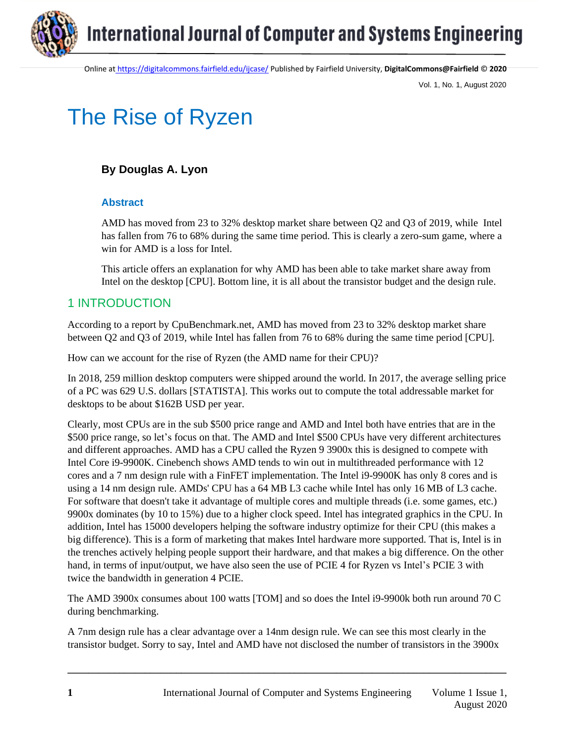

Online at <https://digitalcommons.fairfield.edu/ijcase/> Published by Fairfield University, **DigitalCommons@Fairfield** © **2020**

Vol. 1, No. 1, August 2020

# The Rise of Ryzen

### **By Douglas A. Lyon**

#### **Abstract**

AMD has moved from 23 to 32% desktop market share between Q2 and Q3 of 2019, while Intel has fallen from 76 to 68% during the same time period. This is clearly a zero-sum game, where a win for AMD is a loss for Intel.

This article offers an explanation for why AMD has been able to take market share away from Intel on the desktop [CPU]. Bottom line, it is all about the transistor budget and the design rule.

#### 1 INTRODUCTION

According to a report by CpuBenchmark.net, AMD has moved from 23 to 32% desktop market share between Q2 and Q3 of 2019, while Intel has fallen from 76 to 68% during the same time period [CPU].

How can we account for the rise of Ryzen (the AMD name for their CPU)?

In 2018, 259 million desktop computers were shipped around the world. In 2017, the average selling price of a PC was 629 U.S. dollars [STATISTA]. This works out to compute the total addressable market for desktops to be about \$162B USD per year.

Clearly, most CPUs are in the sub \$500 price range and AMD and Intel both have entries that are in the \$500 price range, so let's focus on that. The AMD and Intel \$500 CPUs have very different architectures and different approaches. AMD has a CPU called the Ryzen 9 3900x this is designed to compete with Intel Core i9-9900K. Cinebench shows AMD tends to win out in multithreaded performance with 12 cores and a 7 nm design rule with a FinFET implementation. The Intel i9-9900K has only 8 cores and is using a 14 nm design rule. AMDs' CPU has a 64 MB L3 cache while Intel has only 16 MB of L3 cache. For software that doesn't take it advantage of multiple cores and multiple threads (i.e. some games, etc.) 9900x dominates (by 10 to 15%) due to a higher clock speed. Intel has integrated graphics in the CPU. In addition, Intel has 15000 developers helping the software industry optimize for their CPU (this makes a big difference). This is a form of marketing that makes Intel hardware more supported. That is, Intel is in the trenches actively helping people support their hardware, and that makes a big difference. On the other hand, in terms of input/output, we have also seen the use of PCIE 4 for Ryzen vs Intel's PCIE 3 with twice the bandwidth in generation 4 PCIE.

The AMD 3900x consumes about 100 watts [TOM] and so does the Intel i9-9900k both run around 70 C during benchmarking.

A 7nm design rule has a clear advantage over a 14nm design rule. We can see this most clearly in the transistor budget. Sorry to say, Intel and AMD have not disclosed the number of transistors in the 3900x

**\_\_\_\_\_\_\_\_\_\_\_\_\_\_\_\_\_\_\_\_\_\_\_\_\_\_\_\_\_\_\_\_\_\_\_\_\_\_\_\_\_\_\_\_\_\_\_\_\_\_\_\_\_\_\_\_\_\_\_\_\_\_\_\_\_\_\_\_\_\_\_\_\_\_\_\_\_\_\_\_\_\_\_\_\_**